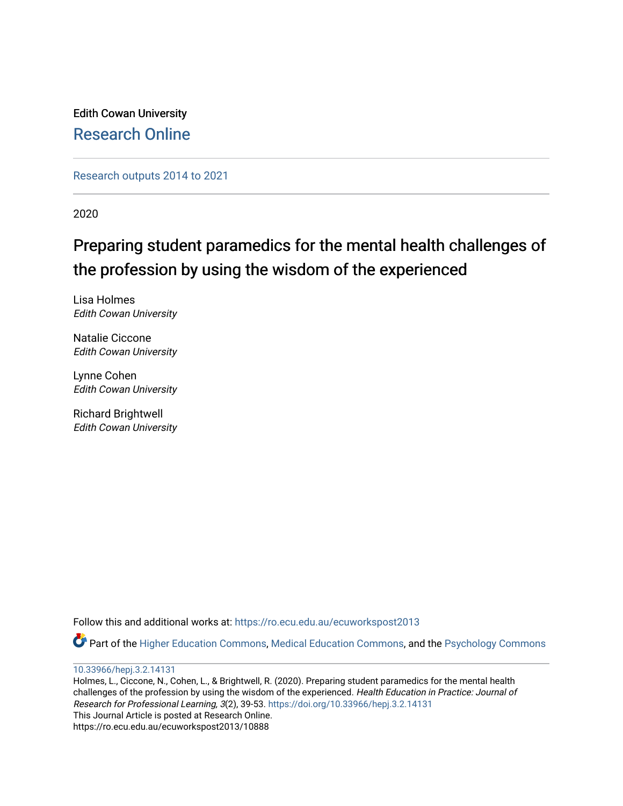Edith Cowan University [Research Online](https://ro.ecu.edu.au/) 

[Research outputs 2014 to 2021](https://ro.ecu.edu.au/ecuworkspost2013) 

2020

# Preparing student paramedics for the mental health challenges of the profession by using the wisdom of the experienced

Lisa Holmes Edith Cowan University

Natalie Ciccone Edith Cowan University

Lynne Cohen Edith Cowan University

Richard Brightwell Edith Cowan University

Follow this and additional works at: [https://ro.ecu.edu.au/ecuworkspost2013](https://ro.ecu.edu.au/ecuworkspost2013?utm_source=ro.ecu.edu.au%2Fecuworkspost2013%2F10888&utm_medium=PDF&utm_campaign=PDFCoverPages) 

Part of the [Higher Education Commons,](http://network.bepress.com/hgg/discipline/1245?utm_source=ro.ecu.edu.au%2Fecuworkspost2013%2F10888&utm_medium=PDF&utm_campaign=PDFCoverPages) [Medical Education Commons](http://network.bepress.com/hgg/discipline/1125?utm_source=ro.ecu.edu.au%2Fecuworkspost2013%2F10888&utm_medium=PDF&utm_campaign=PDFCoverPages), and the [Psychology Commons](http://network.bepress.com/hgg/discipline/404?utm_source=ro.ecu.edu.au%2Fecuworkspost2013%2F10888&utm_medium=PDF&utm_campaign=PDFCoverPages) 

[10.33966/hepj.3.2.14131](http://dx.doi.org/10.33966/hepj.3.2.14131) 

Holmes, L., Ciccone, N., Cohen, L., & Brightwell, R. (2020). Preparing student paramedics for the mental health challenges of the profession by using the wisdom of the experienced. Health Education in Practice: Journal of Research for Professional Learning, 3(2), 39-53. <https://doi.org/10.33966/hepj.3.2.14131> This Journal Article is posted at Research Online. https://ro.ecu.edu.au/ecuworkspost2013/10888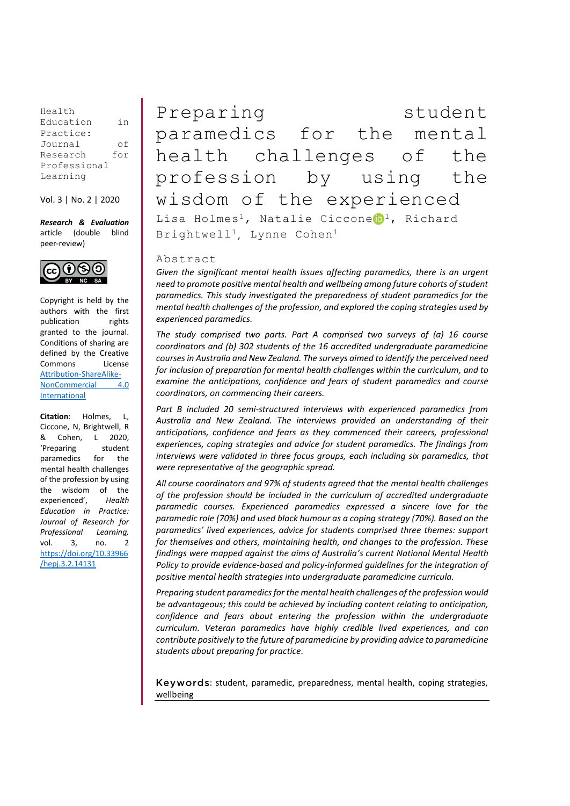Health Education in Practice: Journal of Research for Professional Learning

Vol. 3 | No. 2 | 2020

*Research & Evaluation* article (double blind peer-review)



Copyright is held by the authors with the first publication rights granted to the journal. Conditions of sharing are defined by the Creative Commons License [Attribution-ShareAlike-](https://creativecommons.org/licenses/by-nc-sa/4.0/)[NonCommercial 4.0](https://creativecommons.org/licenses/by-nc-sa/4.0/)  [International](https://creativecommons.org/licenses/by-nc-sa/4.0/)

**Citation**: Holmes, L, Ciccone, N, Brightwell, R & Cohen, L 2020, 'Preparing student paramedics for the mental health challenges of the profession by using the wisdom of the experienced', *Health Education in Practice: Journal of Research for Professional Learning,*  vol. 3, no. 2 [https://doi.org/10.33966](https://doi.org/10.33966/hepj.3.2.14131) [/hepj.3.2.14131](https://doi.org/10.33966/hepj.3.2.14131)

Preparing student paramedics for the mental health challenges of the profession by using the wisdom of the experienced Lisa Holmes<sup>1</sup>, Natalie Ciccone<sup>t</sup> 1, Richard Brightwell<sup>1</sup>, Lynne Cohen<sup>1</sup>

### Abstract

*Given the significant mental health issues affecting paramedics, there is an urgent need to promote positive mental health and wellbeing among future cohorts of student paramedics. This study investigated the preparedness of student paramedics for the mental health challenges of the profession, and explored the coping strategies used by experienced paramedics.*

*The study comprised two parts. Part A comprised two surveys of (a) 16 course coordinators and (b) 302 students of the 16 accredited undergraduate paramedicine courses in Australia and New Zealand. The surveys aimed to identify the perceived need for inclusion of preparation for mental health challenges within the curriculum, and to examine the anticipations, confidence and fears of student paramedics and course coordinators, on commencing their careers.*

*Part B included 20 semi-structured interviews with experienced paramedics from Australia and New Zealand. The interviews provided an understanding of their anticipations, confidence and fears as they commenced their careers, professional experiences, coping strategies and advice for student paramedics. The findings from interviews were validated in three focus groups, each including six paramedics, that were representative of the geographic spread.*

*All course coordinators and 97% of students agreed that the mental health challenges of the profession should be included in the curriculum of accredited undergraduate paramedic courses. Experienced paramedics expressed a sincere love for the paramedic role (70%) and used black humour as a coping strategy (70%). Based on the paramedics' lived experiences, advice for students comprised three themes: support for themselves and others, maintaining health, and changes to the profession. These findings were mapped against the aims of Australia's current National Mental Health Policy to provide evidence-based and policy-informed guidelines for the integration of positive mental health strategies into undergraduate paramedicine curricula.*

*Preparing student paramedics for the mental health challenges of the profession would be advantageous; this could be achieved by including content relating to anticipation, confidence and fears about entering the profession within the undergraduate curriculum. Veteran paramedics have highly credible lived experiences, and can contribute positively to the future of paramedicine by providing advice to paramedicine students about preparing for practice.*

Keywords: student, paramedic, preparedness, mental health, coping strategies, wellbeing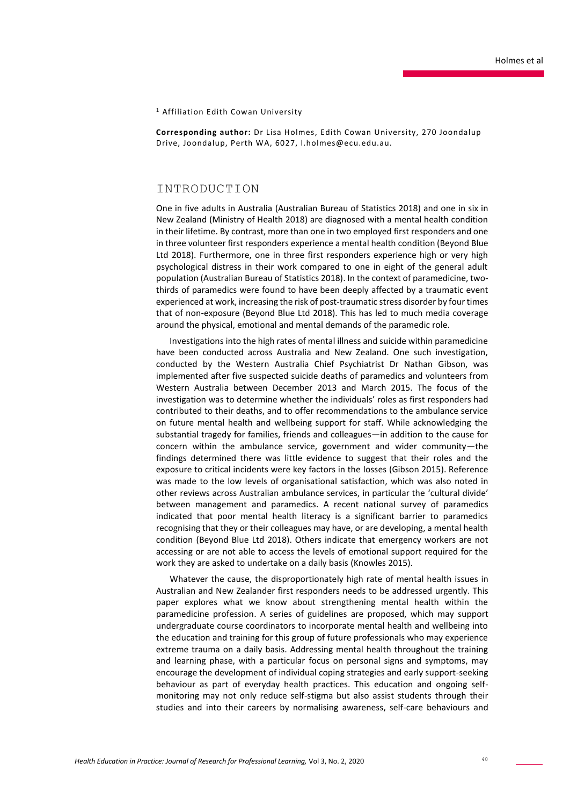#### <sup>1</sup> Affiliation Edith Cowan University

**Corresponding author:** Dr Lisa Holmes, Edith Cowan University, 270 Joondalup Drive, Joondalup, Perth WA, 6027, l.holmes@ecu.edu.au.

### INTRODUCTION

One in five adults in Australia (Australian Bureau of Statistics 2018) and one in six in New Zealand (Ministry of Health 2018) are diagnosed with a mental health condition in their lifetime. By contrast, more than one in two employed first responders and one in three volunteer first responders experience a mental health condition (Beyond Blue Ltd 2018). Furthermore, one in three first responders experience high or very high psychological distress in their work compared to one in eight of the general adult population (Australian Bureau of Statistics 2018). In the context of paramedicine, twothirds of paramedics were found to have been deeply affected by a traumatic event experienced at work, increasing the risk of post-traumatic stress disorder by four times that of non-exposure (Beyond Blue Ltd 2018). This has led to much media coverage around the physical, emotional and mental demands of the paramedic role.

Investigations into the high rates of mental illness and suicide within paramedicine have been conducted across Australia and New Zealand. One such investigation, conducted by the Western Australia Chief Psychiatrist Dr Nathan Gibson, was implemented after five suspected suicide deaths of paramedics and volunteers from Western Australia between December 2013 and March 2015. The focus of the investigation was to determine whether the individuals' roles as first responders had contributed to their deaths, and to offer recommendations to the ambulance service on future mental health and wellbeing support for staff. While acknowledging the substantial tragedy for families, friends and colleagues—in addition to the cause for concern within the ambulance service, government and wider community—the findings determined there was little evidence to suggest that their roles and the exposure to critical incidents were key factors in the losses (Gibson 2015). Reference was made to the low levels of organisational satisfaction, which was also noted in other reviews across Australian ambulance services, in particular the 'cultural divide' between management and paramedics. A recent national survey of paramedics indicated that poor mental health literacy is a significant barrier to paramedics recognising that they or their colleagues may have, or are developing, a mental health condition (Beyond Blue Ltd 2018). Others indicate that emergency workers are not accessing or are not able to access the levels of emotional support required for the work they are asked to undertake on a daily basis (Knowles 2015).

Whatever the cause, the disproportionately high rate of mental health issues in Australian and New Zealander first responders needs to be addressed urgently. This paper explores what we know about strengthening mental health within the paramedicine profession. A series of guidelines are proposed, which may support undergraduate course coordinators to incorporate mental health and wellbeing into the education and training for this group of future professionals who may experience extreme trauma on a daily basis. Addressing mental health throughout the training and learning phase, with a particular focus on personal signs and symptoms, may encourage the development of individual coping strategies and early support-seeking behaviour as part of everyday health practices. This education and ongoing selfmonitoring may not only reduce self-stigma but also assist students through their studies and into their careers by normalising awareness, self-care behaviours and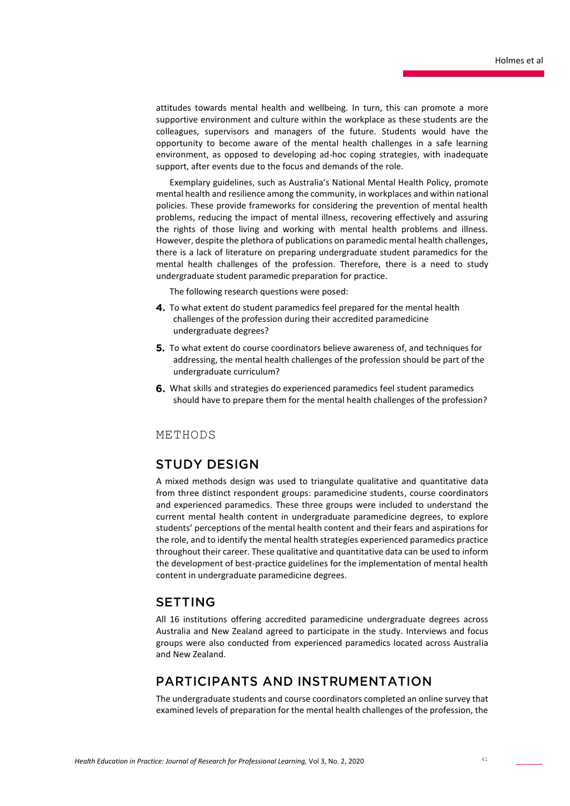attitudes towards mental health and wellbeing. In turn, this can promote a more supportive environment and culture within the workplace as these students are the colleagues, supervisors and managers of the future. Students would have the opportunity to become aware of the mental health challenges in a safe learning environment, as opposed to developing ad-hoc coping strategies, with inadequate support, after events due to the focus and demands of the role.

Exemplary guidelines, such as Australia's National Mental Health Policy, promote mental health and resilience among the community, in workplaces and within national policies. These provide frameworks for considering the prevention of mental health problems, reducing the impact of mental illness, recovering effectively and assuring the rights of those living and working with mental health problems and illness. However, despite the plethora of publications on paramedic mental health challenges, there is a lack of literature on preparing undergraduate student paramedics for the mental health challenges of the profession. Therefore, there is a need to study undergraduate student paramedic preparation for practice.

The following research questions were posed:

- 4. To what extent do student paramedics feel prepared for the mental health challenges of the profession during their accredited paramedicine undergraduate degrees?
- **5.** To what extent do course coordinators believe awareness of, and techniques for addressing, the mental health challenges of the profession should be part of the undergraduate curriculum?
- What skills and strategies do experienced paramedics feel student paramedics should have to prepare them for the mental health challenges of the profession?

### METHODS

### **STUDY DESIGN**

A mixed methods design was used to triangulate qualitative and quantitative data from three distinct respondent groups: paramedicine students, course coordinators and experienced paramedics. These three groups were included to understand the current mental health content in undergraduate paramedicine degrees, to explore students' perceptions of the mental health content and their fears and aspirations for the role, and to identify the mental health strategies experienced paramedics practice throughout their career. These qualitative and quantitative data can be used to inform the development of best-practice guidelines for the implementation of mental health content in undergraduate paramedicine degrees.

### **SETTING**

All 16 institutions offering accredited paramedicine undergraduate degrees across Australia and New Zealand agreed to participate in the study. Interviews and focus groups were also conducted from experienced paramedics located across Australia and New Zealand.

### PARTICIPANTS AND INSTRUMENTATION

The undergraduate students and course coordinators completed an online survey that examined levels of preparation for the mental health challenges of the profession, the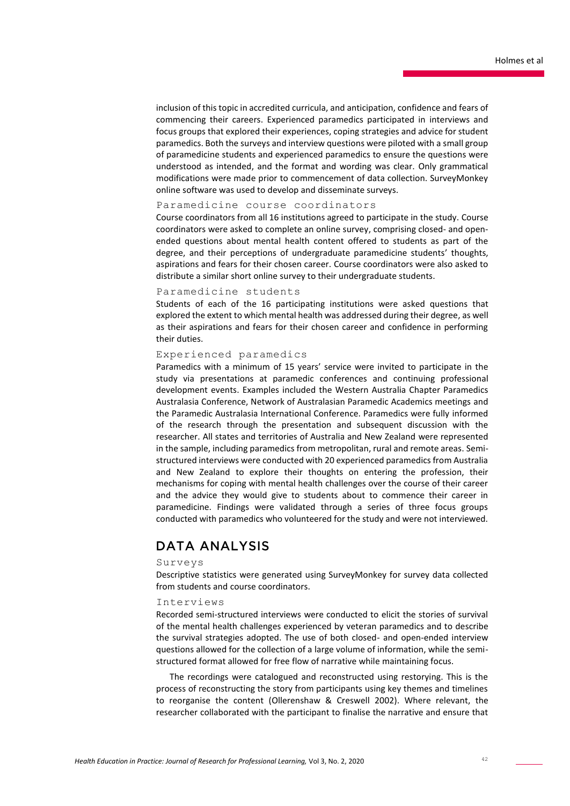inclusion of this topic in accredited curricula, and anticipation, confidence and fears of commencing their careers. Experienced paramedics participated in interviews and focus groups that explored their experiences, coping strategies and advice for student paramedics. Both the surveys and interview questions were piloted with a small group of paramedicine students and experienced paramedics to ensure the questions were understood as intended, and the format and wording was clear. Only grammatical modifications were made prior to commencement of data collection. SurveyMonkey online software was used to develop and disseminate surveys.

### Paramedicine course coordinators

Course coordinators from all 16 institutions agreed to participate in the study. Course coordinators were asked to complete an online survey, comprising closed- and openended questions about mental health content offered to students as part of the degree, and their perceptions of undergraduate paramedicine students' thoughts, aspirations and fears for their chosen career. Course coordinators were also asked to distribute a similar short online survey to their undergraduate students.

#### Paramedicine students

Students of each of the 16 participating institutions were asked questions that explored the extent to which mental health was addressed during their degree, as well as their aspirations and fears for their chosen career and confidence in performing their duties.

### Experienced paramedics

Paramedics with a minimum of 15 years' service were invited to participate in the study via presentations at paramedic conferences and continuing professional development events. Examples included the Western Australia Chapter Paramedics Australasia Conference, Network of Australasian Paramedic Academics meetings and the Paramedic Australasia International Conference. Paramedics were fully informed of the research through the presentation and subsequent discussion with the researcher. All states and territories of Australia and New Zealand were represented in the sample, including paramedics from metropolitan, rural and remote areas. Semistructured interviews were conducted with 20 experienced paramedics from Australia and New Zealand to explore their thoughts on entering the profession, their mechanisms for coping with mental health challenges over the course of their career and the advice they would give to students about to commence their career in paramedicine. Findings were validated through a series of three focus groups conducted with paramedics who volunteered for the study and were not interviewed.

## **DATA ANALYSIS**

### Surveys

Descriptive statistics were generated using SurveyMonkey for survey data collected from students and course coordinators.

#### Interviews

Recorded semi-structured interviews were conducted to elicit the stories of survival of the mental health challenges experienced by veteran paramedics and to describe the survival strategies adopted. The use of both closed- and open-ended interview questions allowed for the collection of a large volume of information, while the semistructured format allowed for free flow of narrative while maintaining focus.

The recordings were catalogued and reconstructed using restorying. This is the process of reconstructing the story from participants using key themes and timelines to reorganise the content (Ollerenshaw & Creswell 2002). Where relevant, the researcher collaborated with the participant to finalise the narrative and ensure that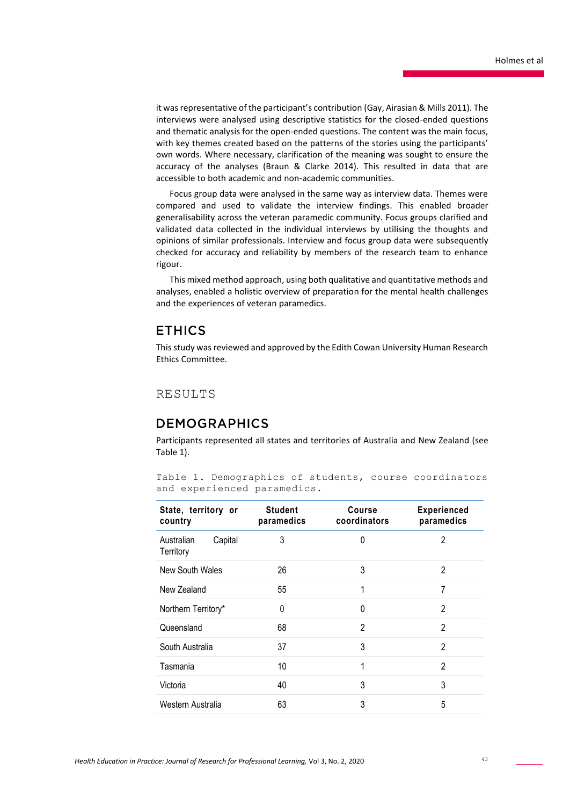it was representative of the participant's contribution (Gay, Airasian & Mills 2011). The interviews were analysed using descriptive statistics for the closed-ended questions and thematic analysis for the open-ended questions. The content was the main focus, with key themes created based on the patterns of the stories using the participants' own words. Where necessary, clarification of the meaning was sought to ensure the accuracy of the analyses (Braun & Clarke 2014). This resulted in data that are accessible to both academic and non-academic communities.

Focus group data were analysed in the same way as interview data. Themes were compared and used to validate the interview findings. This enabled broader generalisability across the veteran paramedic community. Focus groups clarified and validated data collected in the individual interviews by utilising the thoughts and opinions of similar professionals. Interview and focus group data were subsequently checked for accuracy and reliability by members of the research team to enhance rigour.

This mixed method approach, using both qualitative and quantitative methods and analyses, enabled a holistic overview of preparation for the mental health challenges and the experiences of veteran paramedics.

### **ETHICS**

This study was reviewed and approved by the Edith Cowan University Human Research Ethics Committee.

### RESULTS

### **DEMOGRAPHICS**

Participants represented all states and territories of Australia and New Zealand (see Table 1).

|  |                             |  |  | Table 1. Demographics of students, course coordinators |
|--|-----------------------------|--|--|--------------------------------------------------------|
|  | and experienced paramedics. |  |  |                                                        |

| State, territory or<br>country     | <b>Student</b><br>paramedics | <b>Course</b><br>coordinators | <b>Experienced</b><br>paramedics |
|------------------------------------|------------------------------|-------------------------------|----------------------------------|
| Australian<br>Capital<br>Territory | 3                            | 0                             | $\overline{2}$                   |
| New South Wales                    | 26                           | 3                             | $\overline{2}$                   |
| New Zealand                        | 55                           | 1                             | 7                                |
| Northern Territory*                | 0                            | 0                             | $\mathfrak{p}$                   |
| Queensland                         | 68                           | 2                             | 2                                |
| South Australia                    | 37                           | 3                             | $\mathfrak{p}$                   |
| Tasmania                           | 10                           | 1                             | $\mathfrak{p}$                   |
| Victoria                           | 40                           | 3                             | 3                                |
| Western Australia                  | 63                           | 3                             | 5                                |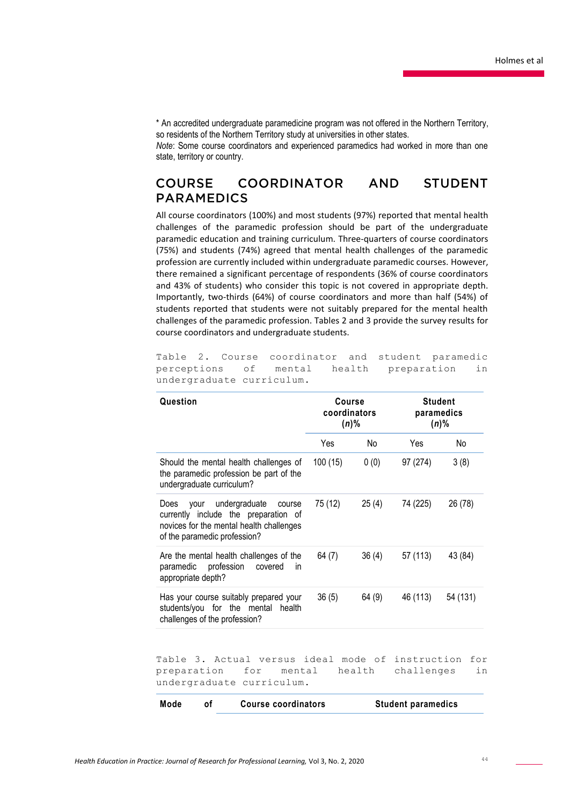\* An accredited undergraduate paramedicine program was not offered in the Northern Territory, so residents of the Northern Territory study at universities in other states.

*Note*: Some course coordinators and experienced paramedics had worked in more than one state, territory or country.

#### COORDINATOR **COURSE AND STUDENT PARAMEDICS**

All course coordinators (100%) and most students (97%) reported that mental health challenges of the paramedic profession should be part of the undergraduate paramedic education and training curriculum. Three-quarters of course coordinators (75%) and students (74%) agreed that mental health challenges of the paramedic profession are currently included within undergraduate paramedic courses. However, there remained a significant percentage of respondents (36% of course coordinators and 43% of students) who consider this topic is not covered in appropriate depth. Importantly, two-thirds (64%) of course coordinators and more than half (54%) of students reported that students were not suitably prepared for the mental health challenges of the paramedic profession. Tables 2 and 3 provide the survey results for course coordinators and undergraduate students.

Table 2. Course coordinator and student paramedic perceptions of mental health preparation in undergraduate curriculum.

| Question                                                                                                                                                    | Course<br>coordinators<br>$(n)\%$ |        | <b>Student</b><br>paramedics<br>$(n)\%$ |           |
|-------------------------------------------------------------------------------------------------------------------------------------------------------------|-----------------------------------|--------|-----------------------------------------|-----------|
|                                                                                                                                                             | Yes                               | No     | Yes                                     | No        |
| Should the mental health challenges of<br>the paramedic profession be part of the<br>undergraduate curriculum?                                              | 100(15)                           | 0(0)   | 97 (274)                                | 3(8)      |
| undergraduate<br>vour<br>Does<br>course<br>currently include the preparation of<br>novices for the mental health challenges<br>of the paramedic profession? | 75 (12)                           | 25(4)  | 74 (225)                                | 26 (78)   |
| Are the mental health challenges of the<br>profession<br>paramedic<br>covered<br>in<br>appropriate depth?                                                   | 64(7)                             | 36(4)  | 57 (113)                                | 43 (84)   |
| Has your course suitably prepared your<br>students/you for the mental<br>health<br>challenges of the profession?                                            | 36(5)                             | 64 (9) | 46 (113)                                | 54 (131)  |
| Table 3. Actual versus ideal mode of instruction<br>preparation<br>for<br>mental<br>undergraduate curriculum.                                               |                                   | health | challenges                              | for<br>in |
| Mode<br><b>Course coordinators</b><br>οf                                                                                                                    |                                   |        | <b>Student paramedics</b>               |           |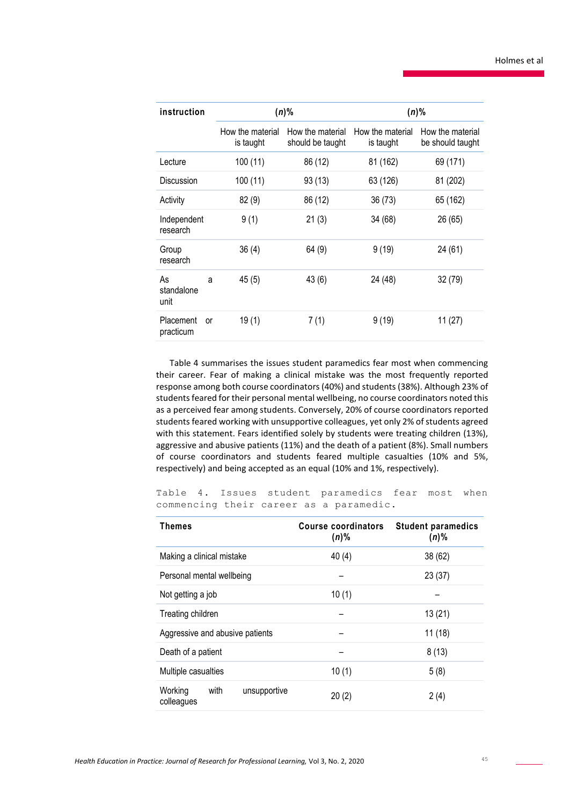| instruction                         |                               | $(n)\%$                              | $(n)\%$                       |                                      |  |
|-------------------------------------|-------------------------------|--------------------------------------|-------------------------------|--------------------------------------|--|
|                                     | How the material<br>is taught | How the material<br>should be taught | How the material<br>is taught | How the material<br>be should taught |  |
| Lecture                             | 100(11)                       | 86 (12)                              | 81 (162)                      | 69 (171)                             |  |
| Discussion                          | 100(11)                       | 93(13)                               | 63 (126)                      | 81 (202)                             |  |
| Activity                            | 82(9)                         | 86 (12)                              | 36(73)                        | 65 (162)                             |  |
| Independent<br>research             | 9(1)                          | 21(3)                                | 34 (68)                       | 26 (65)                              |  |
| Group<br>research                   | 36(4)                         | 64(9)                                | 9(19)                         | 24 (61)                              |  |
| As<br>a<br>standalone<br>unit       | 45(5)                         | 43(6)                                | 24 (48)                       | 32(79)                               |  |
| <b>Placement</b><br>or<br>practicum | 19(1)                         | 7(1)                                 | 9(19)                         | 11(27)                               |  |

Table 4 summarises the issues student paramedics fear most when commencing their career. Fear of making a clinical mistake was the most frequently reported response among both course coordinators (40%) and students (38%). Although 23% of students feared for their personal mental wellbeing, no course coordinators noted this as a perceived fear among students. Conversely, 20% of course coordinators reported students feared working with unsupportive colleagues, yet only 2% of students agreed with this statement. Fears identified solely by students were treating children (13%), aggressive and abusive patients (11%) and the death of a patient (8%). Small numbers of course coordinators and students feared multiple casualties (10% and 5%, respectively) and being accepted as an equal (10% and 1%, respectively).

Table 4. Issues student paramedics fear most when commencing their career as a paramedic.

| Themes                                        | Course coordinators<br>$(n)\%$ | <b>Student paramedics</b><br>$(n)\%$ |
|-----------------------------------------------|--------------------------------|--------------------------------------|
| Making a clinical mistake                     | 40(4)                          | 38 (62)                              |
| Personal mental wellbeing                     |                                | 23(37)                               |
| Not getting a job                             | 10(1)                          |                                      |
| Treating children                             |                                | 13(21)                               |
| Aggressive and abusive patients               |                                | 11(18)                               |
| Death of a patient                            |                                | 8(13)                                |
| Multiple casualties                           | 10(1)                          | 5(8)                                 |
| Working<br>with<br>unsupportive<br>colleagues | 20(2)                          | 2(4)                                 |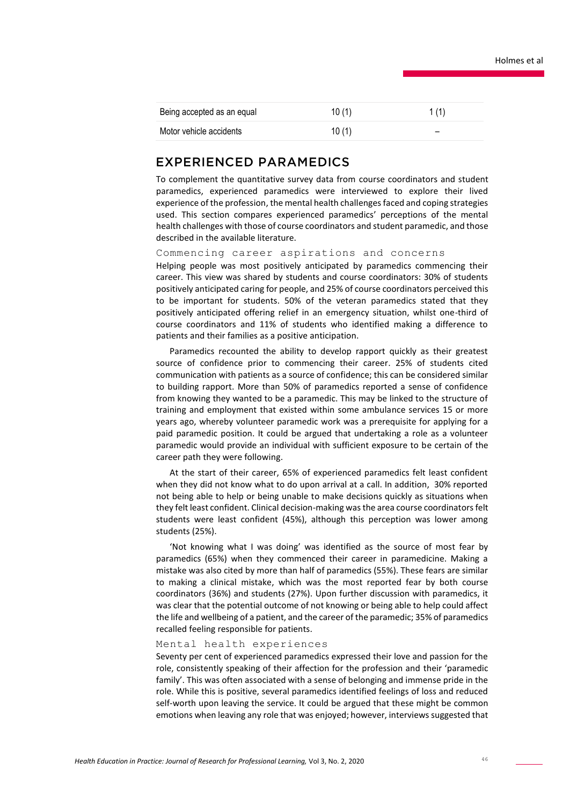| Being accepted as an equal | 10(1)    | 1(1)                     |
|----------------------------|----------|--------------------------|
| Motor vehicle accidents    | 10 $(1)$ | $\overline{\phantom{0}}$ |

### **EXPERIENCED PARAMEDICS**

To complement the quantitative survey data from course coordinators and student paramedics, experienced paramedics were interviewed to explore their lived experience of the profession, the mental health challenges faced and coping strategies used. This section compares experienced paramedics' perceptions of the mental health challenges with those of course coordinators and student paramedic, and those described in the available literature.

Commencing career aspirations and concerns

Helping people was most positively anticipated by paramedics commencing their career. This view was shared by students and course coordinators: 30% of students positively anticipated caring for people, and 25% of course coordinators perceived this to be important for students. 50% of the veteran paramedics stated that they positively anticipated offering relief in an emergency situation, whilst one-third of course coordinators and 11% of students who identified making a difference to patients and their families as a positive anticipation.

Paramedics recounted the ability to develop rapport quickly as their greatest source of confidence prior to commencing their career. 25% of students cited communication with patients as a source of confidence; this can be considered similar to building rapport. More than 50% of paramedics reported a sense of confidence from knowing they wanted to be a paramedic. This may be linked to the structure of training and employment that existed within some ambulance services 15 or more years ago, whereby volunteer paramedic work was a prerequisite for applying for a paid paramedic position. It could be argued that undertaking a role as a volunteer paramedic would provide an individual with sufficient exposure to be certain of the career path they were following.

At the start of their career, 65% of experienced paramedics felt least confident when they did not know what to do upon arrival at a call. In addition, 30% reported not being able to help or being unable to make decisions quickly as situations when they felt least confident. Clinical decision-making was the area course coordinators felt students were least confident (45%), although this perception was lower among students (25%).

'Not knowing what I was doing' was identified as the source of most fear by paramedics (65%) when they commenced their career in paramedicine. Making a mistake was also cited by more than half of paramedics (55%). These fears are similar to making a clinical mistake, which was the most reported fear by both course coordinators (36%) and students (27%). Upon further discussion with paramedics, it was clear that the potential outcome of not knowing or being able to help could affect the life and wellbeing of a patient, and the career of the paramedic; 35% of paramedics recalled feeling responsible for patients.

#### Mental health experiences

Seventy per cent of experienced paramedics expressed their love and passion for the role, consistently speaking of their affection for the profession and their 'paramedic family'. This was often associated with a sense of belonging and immense pride in the role. While this is positive, several paramedics identified feelings of loss and reduced self-worth upon leaving the service. It could be argued that these might be common emotions when leaving any role that was enjoyed; however, interviews suggested that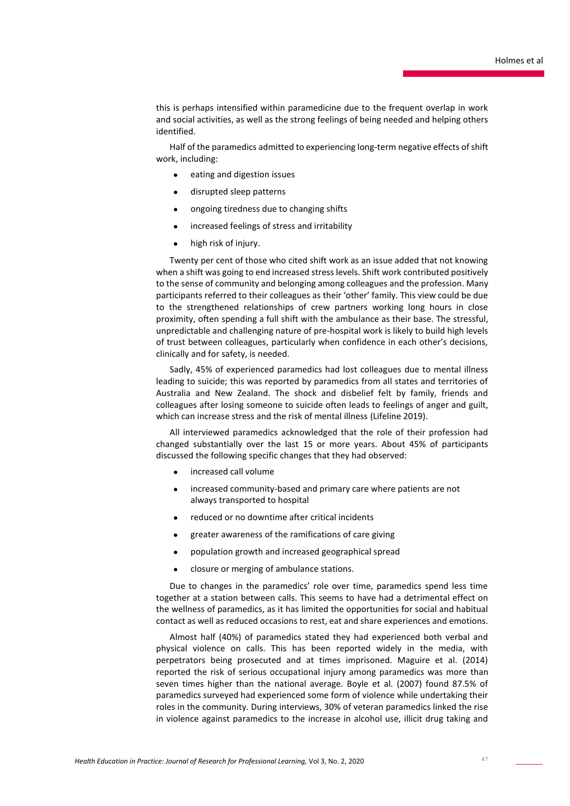this is perhaps intensified within paramedicine due to the frequent overlap in work and social activities, as well as the strong feelings of being needed and helping others identified.

Half of the paramedics admitted to experiencing long-term negative effects of shift work, including:

- eating and digestion issues
- disrupted sleep patterns
- ongoing tiredness due to changing shifts
- increased feelings of stress and irritability
- high risk of injury.

Twenty per cent of those who cited shift work as an issue added that not knowing when a shift was going to end increased stress levels. Shift work contributed positively to the sense of community and belonging among colleagues and the profession. Many participants referred to their colleagues as their 'other' family. This view could be due to the strengthened relationships of crew partners working long hours in close proximity, often spending a full shift with the ambulance as their base. The stressful, unpredictable and challenging nature of pre-hospital work is likely to build high levels of trust between colleagues, particularly when confidence in each other's decisions, clinically and for safety, is needed.

Sadly, 45% of experienced paramedics had lost colleagues due to mental illness leading to suicide; this was reported by paramedics from all states and territories of Australia and New Zealand. The shock and disbelief felt by family, friends and colleagues after losing someone to suicide often leads to feelings of anger and guilt, which can increase stress and the risk of mental illness (Lifeline 2019).

All interviewed paramedics acknowledged that the role of their profession had changed substantially over the last 15 or more years. About 45% of participants discussed the following specific changes that they had observed:

- increased call volume
- increased community-based and primary care where patients are not always transported to hospital
- reduced or no downtime after critical incidents
- greater awareness of the ramifications of care giving
- population growth and increased geographical spread
- closure or merging of ambulance stations.

Due to changes in the paramedics' role over time, paramedics spend less time together at a station between calls. This seems to have had a detrimental effect on the wellness of paramedics, as it has limited the opportunities for social and habitual contact as well as reduced occasions to rest, eat and share experiences and emotions.

Almost half (40%) of paramedics stated they had experienced both verbal and physical violence on calls. This has been reported widely in the media, with perpetrators being prosecuted and at times imprisoned. Maguire et al. (2014) reported the risk of serious occupational injury among paramedics was more than seven times higher than the national average. Boyle et al. (2007) found 87.5% of paramedics surveyed had experienced some form of violence while undertaking their roles in the community. During interviews, 30% of veteran paramedics linked the rise in violence against paramedics to the increase in alcohol use, illicit drug taking and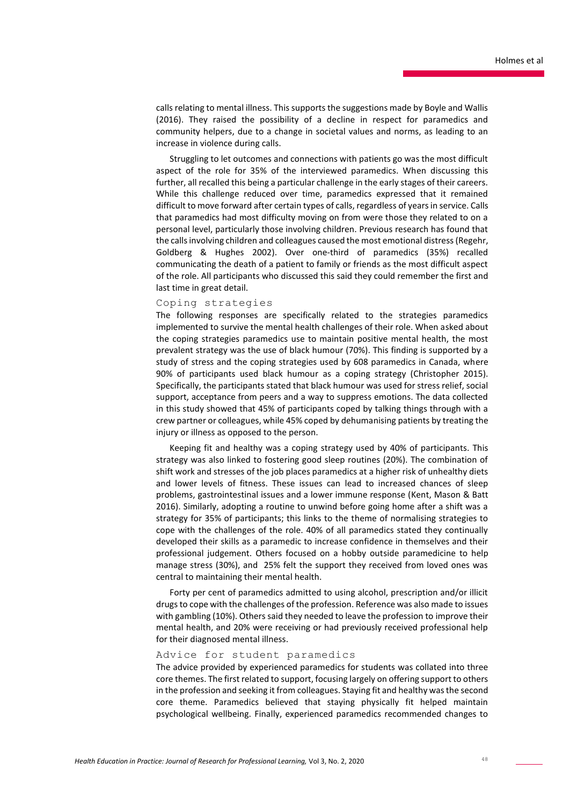calls relating to mental illness. This supports the suggestions made by Boyle and Wallis (2016). They raised the possibility of a decline in respect for paramedics and community helpers, due to a change in societal values and norms, as leading to an increase in violence during calls.

Struggling to let outcomes and connections with patients go was the most difficult aspect of the role for 35% of the interviewed paramedics. When discussing this further, all recalled this being a particular challenge in the early stages of their careers. While this challenge reduced over time, paramedics expressed that it remained difficult to move forward after certain types of calls, regardless of years in service. Calls that paramedics had most difficulty moving on from were those they related to on a personal level, particularly those involving children. Previous research has found that the calls involving children and colleagues caused the most emotional distress (Regehr, Goldberg & Hughes 2002). Over one-third of paramedics (35%) recalled communicating the death of a patient to family or friends as the most difficult aspect of the role. All participants who discussed this said they could remember the first and last time in great detail.

#### Coping strategies

The following responses are specifically related to the strategies paramedics implemented to survive the mental health challenges of their role. When asked about the coping strategies paramedics use to maintain positive mental health, the most prevalent strategy was the use of black humour (70%). This finding is supported by a study of stress and the coping strategies used by 608 paramedics in Canada, where 90% of participants used black humour as a coping strategy (Christopher 2015). Specifically, the participants stated that black humour was used for stress relief, social support, acceptance from peers and a way to suppress emotions. The data collected in this study showed that 45% of participants coped by talking things through with a crew partner or colleagues, while 45% coped by dehumanising patients by treating the injury or illness as opposed to the person.

Keeping fit and healthy was a coping strategy used by 40% of participants. This strategy was also linked to fostering good sleep routines (20%). The combination of shift work and stresses of the job places paramedics at a higher risk of unhealthy diets and lower levels of fitness. These issues can lead to increased chances of sleep problems, gastrointestinal issues and a lower immune response (Kent, Mason & Batt 2016). Similarly, adopting a routine to unwind before going home after a shift was a strategy for 35% of participants; this links to the theme of normalising strategies to cope with the challenges of the role. 40% of all paramedics stated they continually developed their skills as a paramedic to increase confidence in themselves and their professional judgement. Others focused on a hobby outside paramedicine to help manage stress (30%), and 25% felt the support they received from loved ones was central to maintaining their mental health.

Forty per cent of paramedics admitted to using alcohol, prescription and/or illicit drugs to cope with the challenges of the profession. Reference was also made to issues with gambling (10%). Others said they needed to leave the profession to improve their mental health, and 20% were receiving or had previously received professional help for their diagnosed mental illness.

### Advice for student paramedics

The advice provided by experienced paramedics for students was collated into three core themes. The first related to support, focusing largely on offering support to others in the profession and seeking it from colleagues. Staying fit and healthy was the second core theme. Paramedics believed that staying physically fit helped maintain psychological wellbeing. Finally, experienced paramedics recommended changes to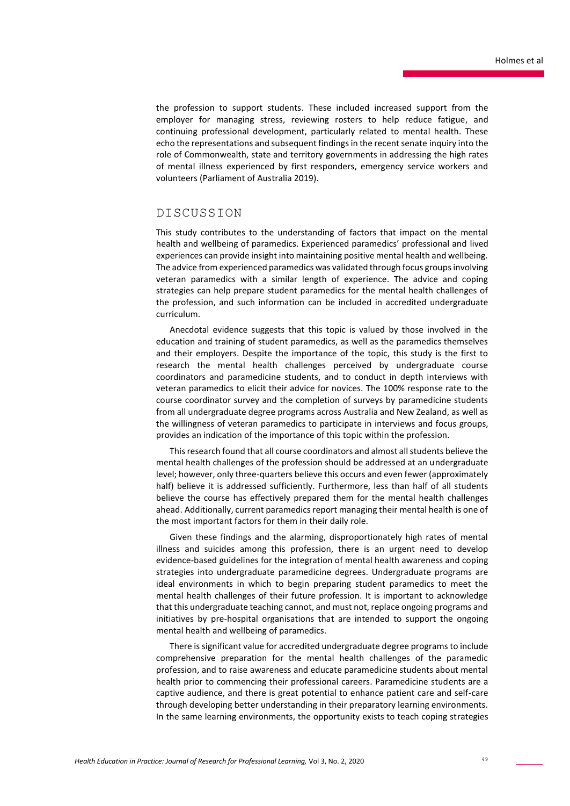the profession to support students. These included increased support from the employer for managing stress, reviewing rosters to help reduce fatigue, and continuing professional development, particularly related to mental health. These echo the representations and subsequent findings in the recent senate inquiry into the role of Commonwealth, state and territory governments in addressing the high rates of mental illness experienced by first responders, emergency service workers and volunteers (Parliament of Australia 2019).

### DISCUSSION

This study contributes to the understanding of factors that impact on the mental health and wellbeing of paramedics. Experienced paramedics' professional and lived experiences can provide insight into maintaining positive mental health and wellbeing. The advice from experienced paramedics was validated through focus groups involving veteran paramedics with a similar length of experience. The advice and coping strategies can help prepare student paramedics for the mental health challenges of the profession, and such information can be included in accredited undergraduate curriculum.

Anecdotal evidence suggests that this topic is valued by those involved in the education and training of student paramedics, as well as the paramedics themselves and their employers. Despite the importance of the topic, this study is the first to research the mental health challenges perceived by undergraduate course coordinators and paramedicine students, and to conduct in depth interviews with veteran paramedics to elicit their advice for novices. The 100% response rate to the course coordinator survey and the completion of surveys by paramedicine students from all undergraduate degree programs across Australia and New Zealand, as well as the willingness of veteran paramedics to participate in interviews and focus groups, provides an indication of the importance of this topic within the profession.

This research found that all course coordinators and almost all students believe the mental health challenges of the profession should be addressed at an undergraduate level; however, only three-quarters believe this occurs and even fewer (approximately half) believe it is addressed sufficiently. Furthermore, less than half of all students believe the course has effectively prepared them for the mental health challenges ahead. Additionally, current paramedics report managing their mental health is one of the most important factors for them in their daily role.

Given these findings and the alarming, disproportionately high rates of mental illness and suicides among this profession, there is an urgent need to develop evidence-based guidelines for the integration of mental health awareness and coping strategies into undergraduate paramedicine degrees. Undergraduate programs are ideal environments in which to begin preparing student paramedics to meet the mental health challenges of their future profession. It is important to acknowledge that this undergraduate teaching cannot, and must not, replace ongoing programs and initiatives by pre-hospital organisations that are intended to support the ongoing mental health and wellbeing of paramedics.

There is significant value for accredited undergraduate degree programs to include comprehensive preparation for the mental health challenges of the paramedic profession, and to raise awareness and educate paramedicine students about mental health prior to commencing their professional careers. Paramedicine students are a captive audience, and there is great potential to enhance patient care and self-care through developing better understanding in their preparatory learning environments. In the same learning environments, the opportunity exists to teach coping strategies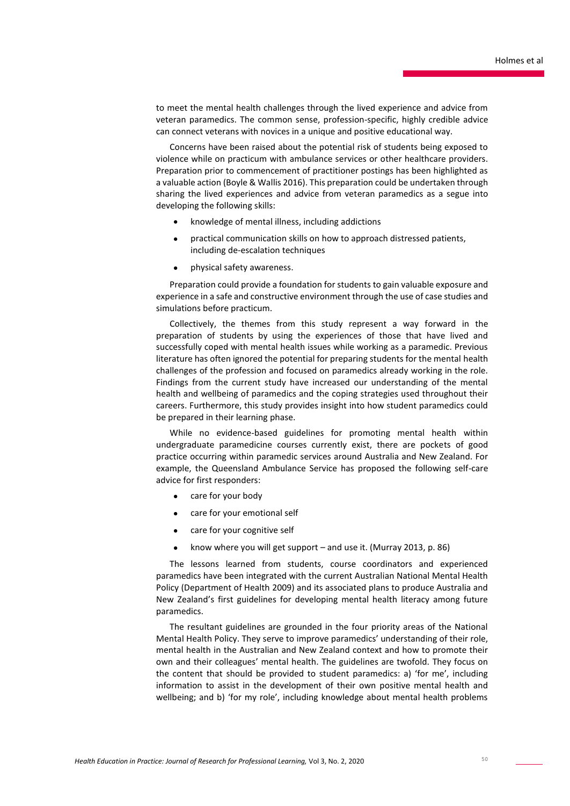to meet the mental health challenges through the lived experience and advice from veteran paramedics. The common sense, profession-specific, highly credible advice can connect veterans with novices in a unique and positive educational way.

Concerns have been raised about the potential risk of students being exposed to violence while on practicum with ambulance services or other healthcare providers. Preparation prior to commencement of practitioner postings has been highlighted as a valuable action (Boyle & Wallis 2016). This preparation could be undertaken through sharing the lived experiences and advice from veteran paramedics as a segue into developing the following skills:

- knowledge of mental illness, including addictions
- practical communication skills on how to approach distressed patients, including de-escalation techniques
- physical safety awareness.

Preparation could provide a foundation for students to gain valuable exposure and experience in a safe and constructive environment through the use of case studies and simulations before practicum.

Collectively, the themes from this study represent a way forward in the preparation of students by using the experiences of those that have lived and successfully coped with mental health issues while working as a paramedic. Previous literature has often ignored the potential for preparing students for the mental health challenges of the profession and focused on paramedics already working in the role. Findings from the current study have increased our understanding of the mental health and wellbeing of paramedics and the coping strategies used throughout their careers. Furthermore, this study provides insight into how student paramedics could be prepared in their learning phase.

While no evidence-based guidelines for promoting mental health within undergraduate paramedicine courses currently exist, there are pockets of good practice occurring within paramedic services around Australia and New Zealand. For example, the Queensland Ambulance Service has proposed the following self-care advice for first responders:

- care for your body
- care for your emotional self
- care for your cognitive self
- know where you will get support and use it. (Murray 2013, p. 86)

The lessons learned from students, course coordinators and experienced paramedics have been integrated with the current Australian National Mental Health Policy (Department of Health 2009) and its associated plans to produce Australia and New Zealand's first guidelines for developing mental health literacy among future paramedics.

The resultant guidelines are grounded in the four priority areas of the National Mental Health Policy. They serve to improve paramedics' understanding of their role, mental health in the Australian and New Zealand context and how to promote their own and their colleagues' mental health. The guidelines are twofold. They focus on the content that should be provided to student paramedics: a) 'for me', including information to assist in the development of their own positive mental health and wellbeing; and b) 'for my role', including knowledge about mental health problems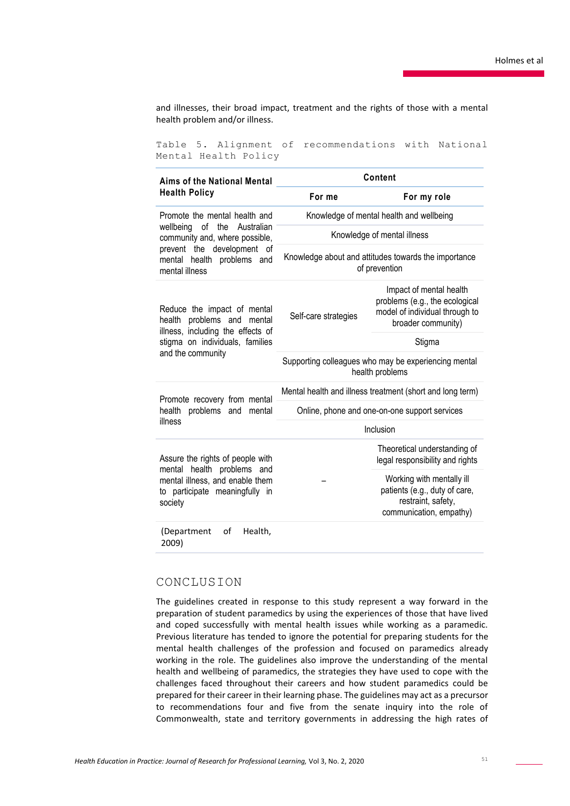and illnesses, their broad impact, treatment and the rights of those with a mental health problem and/or illness.

Table 5. Alignment of recommendations with National Mental Health Policy

| Aims of the National Mental                                                                                | Content                                                                 |                                                                                                                   |  |  |
|------------------------------------------------------------------------------------------------------------|-------------------------------------------------------------------------|-------------------------------------------------------------------------------------------------------------------|--|--|
| <b>Health Policy</b>                                                                                       | For me                                                                  | For my role                                                                                                       |  |  |
| Promote the mental health and                                                                              | Knowledge of mental health and wellbeing                                |                                                                                                                   |  |  |
| wellbeing of the<br>Australian<br>community and, where possible,                                           | Knowledge of mental illness                                             |                                                                                                                   |  |  |
| prevent the development of<br>mental health problems and<br>mental illness                                 | Knowledge about and attitudes towards the importance<br>of prevention   |                                                                                                                   |  |  |
| Reduce the impact of mental<br>health problems and mental<br>illness, including the effects of             | Self-care strategies                                                    | Impact of mental health<br>problems (e.g., the ecological<br>model of individual through to<br>broader community) |  |  |
| stigma on individuals, families                                                                            |                                                                         | Stigma                                                                                                            |  |  |
| and the community                                                                                          | Supporting colleagues who may be experiencing mental<br>health problems |                                                                                                                   |  |  |
| Promote recovery from mental                                                                               | Mental health and illness treatment (short and long term)               |                                                                                                                   |  |  |
| health<br>problems and<br>mental                                                                           | Online, phone and one-on-one support services                           |                                                                                                                   |  |  |
| illness                                                                                                    | Inclusion                                                               |                                                                                                                   |  |  |
| Assure the rights of people with                                                                           |                                                                         | Theoretical understanding of<br>legal responsibility and rights                                                   |  |  |
| mental health problems and<br>mental illness, and enable them<br>to participate meaningfully in<br>society |                                                                         | Working with mentally ill<br>patients (e.g., duty of care,<br>restraint, safety,<br>communication, empathy)       |  |  |
| of<br>(Department<br>Health,<br>2009)                                                                      |                                                                         |                                                                                                                   |  |  |

### CONCLUSION

The guidelines created in response to this study represent a way forward in the preparation of student paramedics by using the experiences of those that have lived and coped successfully with mental health issues while working as a paramedic. Previous literature has tended to ignore the potential for preparing students for the mental health challenges of the profession and focused on paramedics already working in the role. The guidelines also improve the understanding of the mental health and wellbeing of paramedics, the strategies they have used to cope with the challenges faced throughout their careers and how student paramedics could be prepared for their career in their learning phase. The guidelines may act as a precursor to recommendations four and five from the senate inquiry into the role of Commonwealth, state and territory governments in addressing the high rates of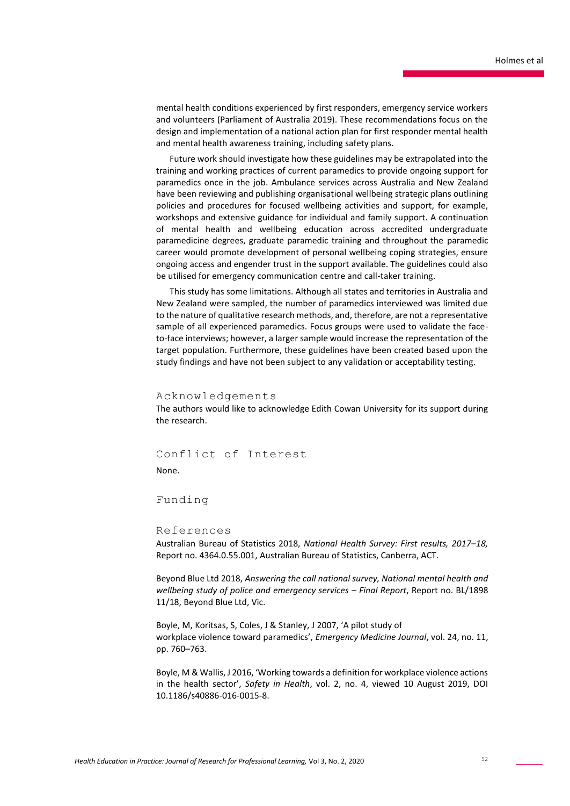mental health conditions experienced by first responders, emergency service workers and volunteers (Parliament of Australia 2019). These recommendations focus on the design and implementation of a national action plan for first responder mental health and mental health awareness training, including safety plans.

Future work should investigate how these guidelines may be extrapolated into the training and working practices of current paramedics to provide ongoing support for paramedics once in the job. Ambulance services across Australia and New Zealand have been reviewing and publishing organisational wellbeing strategic plans outlining policies and procedures for focused wellbeing activities and support, for example, workshops and extensive guidance for individual and family support. A continuation of mental health and wellbeing education across accredited undergraduate paramedicine degrees, graduate paramedic training and throughout the paramedic career would promote development of personal wellbeing coping strategies, ensure ongoing access and engender trust in the support available. The guidelines could also be utilised for emergency communication centre and call-taker training.

This study has some limitations. Although all states and territories in Australia and New Zealand were sampled, the number of paramedics interviewed was limited due to the nature of qualitative research methods, and, therefore, are not a representative sample of all experienced paramedics. Focus groups were used to validate the faceto-face interviews; however, a larger sample would increase the representation of the target population. Furthermore, these guidelines have been created based upon the study findings and have not been subject to any validation or acceptability testing.

#### Acknowledgements

The authors would like to acknowledge Edith Cowan University for its support during the research.

Conflict of Interest None.

### Funding

#### References

Australian Bureau of Statistics 2018, *National Health Survey: First results, 2017–18,*  Report no. 4364.0.55.001, Australian Bureau of Statistics, Canberra, ACT.

Beyond Blue Ltd 2018, *Answering the call national survey, National mental health and wellbeing study of police and emergency services – Final Report*, Report no. BL/1898 11/18, Beyond Blue Ltd, Vic.

Boyle, M, Koritsas, S, Coles, J & Stanley, J 2007, 'A pilot study of workplace violence toward paramedics', *Emergency Medicine Journal*, vol. 24, no. 11, pp. 760–763.

Boyle, M & Wallis, J 2016, 'Working towards a definition for workplace violence actions in the health sector', *Safety in Health*, vol. 2, no. 4, viewed 10 August 2019, DOI 10.1186/s40886-016-0015-8.